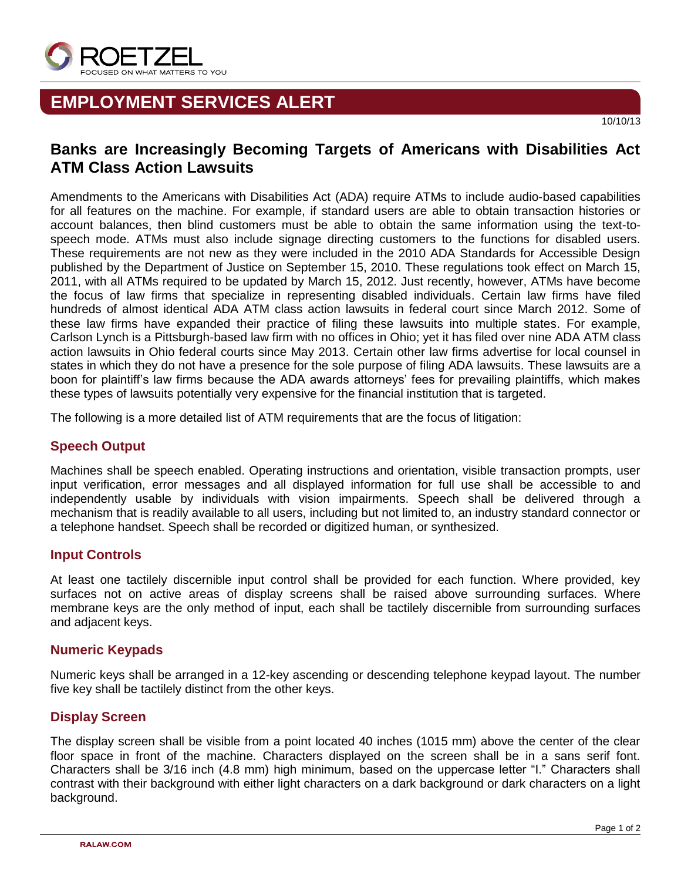

# **EMPLOYMENT SERVICES ALERT**

## **Banks are Increasingly Becoming Targets of Americans with Disabilities Act ATM Class Action Lawsuits**

Amendments to the Americans with Disabilities Act (ADA) require ATMs to include audio-based capabilities for all features on the machine. For example, if standard users are able to obtain transaction histories or account balances, then blind customers must be able to obtain the same information using the text-tospeech mode. ATMs must also include signage directing customers to the functions for disabled users. These requirements are not new as they were included in the 2010 ADA Standards for Accessible Design published by the Department of Justice on September 15, 2010. These regulations took effect on March 15, 2011, with all ATMs required to be updated by March 15, 2012. Just recently, however, ATMs have become the focus of law firms that specialize in representing disabled individuals. Certain law firms have filed hundreds of almost identical ADA ATM class action lawsuits in federal court since March 2012. Some of these law firms have expanded their practice of filing these lawsuits into multiple states. For example, Carlson Lynch is a Pittsburgh-based law firm with no offices in Ohio; yet it has filed over nine ADA ATM class action lawsuits in Ohio federal courts since May 2013. Certain other law firms advertise for local counsel in states in which they do not have a presence for the sole purpose of filing ADA lawsuits. These lawsuits are a boon for plaintiff's law firms because the ADA awards attorneys' fees for prevailing plaintiffs, which makes these types of lawsuits potentially very expensive for the financial institution that is targeted.

The following is a more detailed list of ATM requirements that are the focus of litigation:

#### **Speech Output**

Machines shall be speech enabled. Operating instructions and orientation, visible transaction prompts, user input verification, error messages and all displayed information for full use shall be accessible to and independently usable by individuals with vision impairments. Speech shall be delivered through a mechanism that is readily available to all users, including but not limited to, an industry standard connector or a telephone handset. Speech shall be recorded or digitized human, or synthesized.

### **Input Controls**

At least one tactilely discernible input control shall be provided for each function. Where provided, key surfaces not on active areas of display screens shall be raised above surrounding surfaces. Where membrane keys are the only method of input, each shall be tactilely discernible from surrounding surfaces and adjacent keys.

#### **Numeric Keypads**

Numeric keys shall be arranged in a 12-key ascending or descending telephone keypad layout. The number five key shall be tactilely distinct from the other keys.

### **Display Screen**

The display screen shall be visible from a point located 40 inches (1015 mm) above the center of the clear floor space in front of the machine. Characters displayed on the screen shall be in a sans serif font. Characters shall be 3/16 inch (4.8 mm) high minimum, based on the uppercase letter "I." Characters shall contrast with their background with either light characters on a dark background or dark characters on a light background.